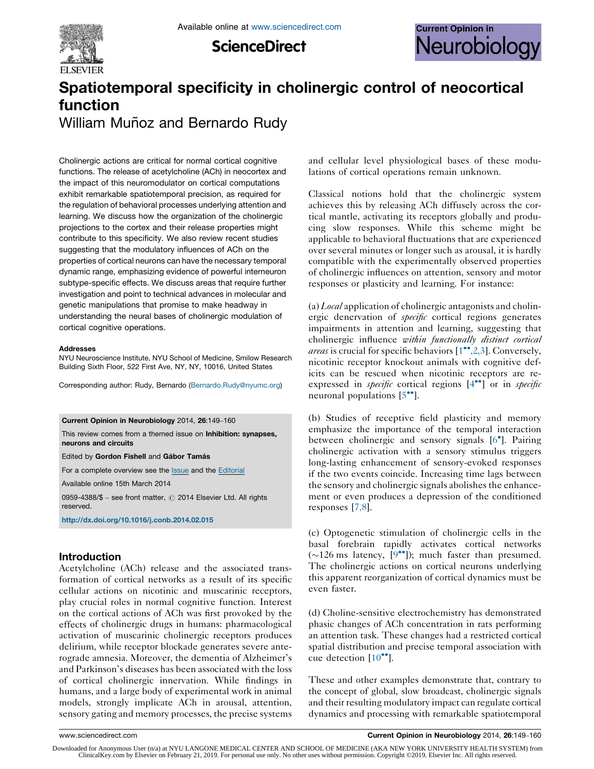

**ScienceDirect** 



# Spatiotemporal specificity in cholinergic control of neocortical function William Muñoz and Bernardo Rudy

Cholinergic actions are critical for normal cortical cognitive functions. The release of acetylcholine (ACh) in neocortex and the impact of this neuromodulator on cortical computations exhibit remarkable spatiotemporal precision, as required for the regulation of behavioral processes underlying attention and learning. We discuss how the organization of the cholinergic projections to the cortex and their release properties might contribute to this specificity. We also review recent studies suggesting that the modulatory influences of ACh on the properties of cortical neurons can have the necessary temporal dynamic range, emphasizing evidence of powerful interneuron subtype-specific effects. We discuss areas that require further investigation and point to technical advances in molecular and genetic manipulations that promise to make headway in understanding the neural bases of cholinergic modulation of cortical cognitive operations.

#### **Addresses**

NYU Neuroscience Institute, NYU School of Medicine, Smilow Research Building Sixth Floor, 522 First Ave, NY, NY, 10016, United States

Corresponding author: Rudy, Bernardo (<Bernardo.Rudy@nyumc.org>)

#### Current Opinion in Neurobiology 2014, 26:149–160

This review comes from a themed issue on Inhibition: synapses, neurons and circuits

Edited by Gordon Fishell and Gábor Tamás

For a complete overview see the **[Issue](http://www.sciencedirect.com/science/journal/09594388/26)** and the **[Editorial](http://dx.doi.org/10.1016/j.conb.2014.03.014)** 

Available online 15th March 2014

0959-4388/\$ - see front matter, @ 2014 Elsevier Ltd. All rights reserved.

<http://dx.doi.org/10.1016/j.conb.2014.02.015>

### Introduction

Acetylcholine (ACh) release and the associated transformation of cortical networks as a result of its specific cellular actions on nicotinic and muscarinic receptors, play crucial roles in normal cognitive function. Interest on the cortical actions of ACh was first provoked by the effects of cholinergic drugs in humans: pharmacological activation of muscarinic cholinergic receptors produces delirium, while receptor blockade generates severe anterograde amnesia. Moreover, the dementia of Alzheimer's and Parkinson's diseases has been associated with the loss of cortical cholinergic innervation. While findings in humans, and a large body of experimental work in animal models, strongly implicate ACh in arousal, attention, sensory gating and memory processes, the precise systems and cellular level physiological bases of these modulations of cortical operations remain unknown.

Classical notions hold that the cholinergic system achieves this by releasing ACh diffusely across the cortical mantle, activating its receptors globally and producing slow responses. While this scheme might be applicable to behavioral fluctuations that are experienced over several minutes or longer such as arousal, it is hardly compatible with the experimentally observed properties of cholinergic influences on attention, sensory and motor responses or plasticity and learning. For instance:

(a) Local application of cholinergic antagonists and cholinergic denervation of *specific* cortical regions generates impairments in attention and learning, suggesting that cholinergic influence within functionally distinct cortical areas is crucial for specific behaviors [[1](#page-9-0)\*[,2,3](#page-9-0)]. Conversely, nicotinic receptor knockout animals with cognitive deficits can be rescued when nicotinic receptors are reexpressed in *specific* cortical regions  $[4^{\bullet\bullet}]$  $[4^{\bullet\bullet}]$  $[4^{\bullet\bullet}]$  or in *specific* neuronal populations [[5](#page-9-0)<sup>\*</sup>].

(b) Studies of receptive field plasticity and memory emphasize the importance of the temporal interaction between cholinergic and sensory signals [\[6](#page-9-0)<sup>°</sup>]. Pairing cholinergic activation with a sensory stimulus triggers long-lasting enhancement of sensory-evoked responses if the two events coincide. Increasing time lags between the sensory and cholinergic signals abolishes the enhancement or even produces a depression of the conditioned responses [[7,8](#page-9-0)].

(c) Optogenetic stimulation of cholinergic cells in the basal forebrain rapidly activates cortical networks  $(\sim 126 \text{ ms }$  latency,  $[9^{\bullet\bullet}]$  $[9^{\bullet\bullet}]$  $[9^{\bullet\bullet}]$ ); much faster than presumed. The cholinergic actions on cortical neurons underlying this apparent reorganization of cortical dynamics must be even faster.

(d) Choline-sensitive electrochemistry has demonstrated phasic changes of ACh concentration in rats performing an attention task. These changes had a restricted cortical spatial distribution and precise temporal association with cue detection  $[10^{\bullet\bullet}]$  $[10^{\bullet\bullet}]$ .

These and other examples demonstrate that, contrary to the concept of global, slow broadcast, cholinergic signals and their resulting modulatory impact can regulate cortical dynamics and processing with remarkable spatiotemporal

www.sciencedirect.com **Current Opinion in Neurobiology** 2014, 26:149-160

Downloaded for Anonymous User (n/a) at NYU LANGONE MEDICAL CENTER AND SCHOOL OF MEDICINE (AKA NEW YORK UNIVERSITY HEALTH SYSTEM) from ClinicalKey.com by Elsevier on February 21, 2019. For personal use only. No other uses without permission. Copyright ©2019. Elsevier Inc. All rights reserved.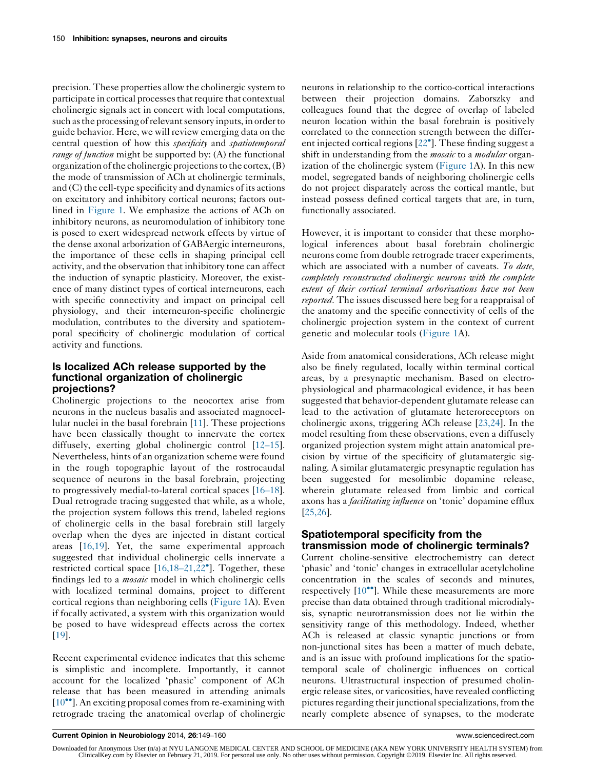precision. These properties allow the cholinergic system to participate in cortical processes that require that contextual cholinergic signals act in concert with local computations, such as the processing of relevant sensory inputs, in order to guide behavior. Here, we will review emerging data on the central question of how this specificity and spatiotemporal range of function might be supported by: (A) the functional organization of the cholinergic projections to the cortex,  $(B)$ the mode of transmission of ACh at cholinergic terminals, and (C) the cell-type specificity and dynamics of its actions on excitatory and inhibitory cortical neurons; factors outlined in [Figure](#page-2-0) 1. We emphasize the actions of ACh on inhibitory neurons, as neuromodulation of inhibitory tone is posed to exert widespread network effects by virtue of the dense axonal arborization of GABAergic interneurons, the importance of these cells in shaping principal cell activity, and the observation that inhibitory tone can affect the induction of synaptic plasticity. Moreover, the existence of many distinct types of cortical interneurons, each with specific connectivity and impact on principal cell physiology, and their interneuron-specific cholinergic modulation, contributes to the diversity and spatiotemporal specificity of cholinergic modulation of cortical activity and functions.

### Is localized ACh release supported by the functional organization of cholinergic projections?

Cholinergic projections to the neocortex arise from neurons in the nucleus basalis and associated magnocellular nuclei in the basal forebrain [\[11](#page-9-0)]. These projections have been classically thought to innervate the cortex diffusely, exerting global cholinergic control [\[12](#page-9-0)–15]. Nevertheless, hints of an organization scheme were found in the rough topographic layout of the rostrocaudal sequence of neurons in the basal forebrain, projecting to progressively medial-to-lateral cortical spaces [\[16](#page-9-0)–18]. Dual retrograde tracing suggested that while, as a whole, the projection system follows this trend, labeled regions of cholinergic cells in the basal forebrain still largely overlap when the dyes are injected in distant cortical areas [\[16,19\]](#page-9-0). Yet, the same experimental approach suggested that individual [cholinergic](#page-9-0) cells innervate a restricted cortical space  $[16, 18-21, 22^{\circ}]$ . Together, these findings led to a *mosaic* model in which cholinergic cells with localized terminal domains, project to different cortical regions than neighboring cells [\(Figure](#page-2-0) 1A). Even if focally activated, a system with this organization would be posed to have widespread effects across the cortex [\[19](#page-9-0)].

Recent experimental evidence indicates that this scheme is simplistic and incomplete. Importantly, it cannot account for the localized 'phasic' component of ACh release that has been measured in attending animals [\[10](#page-9-0)<sup>\*</sup>]. An exciting proposal comes from re-examining with retrograde tracing the anatomical overlap of cholinergic neurons in relationship to the cortico-cortical interactions between their projection domains. Zaborszky and colleagues found that the degree of overlap of labeled neuron location within the basal forebrain is positively correlated to the connection strength between the differ-ent injected cortical regions [\[22](#page-9-0)<sup>°</sup>]. These finding suggest a shift in understanding from the *mosaic* to a *modular* organization of the cholinergic system [\(Figure](#page-2-0) 1A). In this new model, segregated bands of neighboring cholinergic cells do not project disparately across the cortical mantle, but instead possess defined cortical targets that are, in turn, functionally associated.

However, it is important to consider that these morphological inferences about basal forebrain cholinergic neurons come from double retrograde tracer experiments, which are associated with a number of caveats. To date, completely reconstructed cholinergic neurons with the complete extent of their cortical terminal arborizations have not been reported. The issues discussed here beg for a reappraisal of the anatomy and the specific connectivity of cells of the cholinergic projection system in the context of current genetic and molecular tools ([Figure](#page-2-0) 1A).

Aside from anatomical considerations, ACh release might also be finely regulated, locally within terminal cortical areas, by a presynaptic mechanism. Based on electrophysiological and pharmacological evidence, it has been suggested that behavior-dependent glutamate release can lead to the activation of glutamate heteroreceptors on cholinergic axons, triggering ACh release [\[23,24\]](#page-9-0). In the model resulting from these observations, even a diffusely organized projection system might attain anatomical precision by virtue of the specificity of glutamatergic signaling. A similar glutamatergic presynaptic regulation has been suggested for mesolimbic dopamine release, wherein glutamate released from limbic and cortical axons has a *facilitating influence* on 'tonic' dopamine efflux [\[25,26\]](#page-9-0).

## Spatiotemporal specificity from the transmission mode of cholinergic terminals?

Current choline-sensitive electrochemistry can detect 'phasic' and 'tonic' changes in extracellular acetylcholine concentration in the scales of seconds and minutes, respectively [\[10](#page-9-0)<sup>\*</sup>]. While these measurements are more precise than data obtained through traditional microdialysis, synaptic neurotransmission does not lie within the sensitivity range of this methodology. Indeed, whether ACh is released at classic synaptic junctions or from non-junctional sites has been a matter of much debate, and is an issue with profound implications for the spatiotemporal scale of cholinergic influences on cortical neurons. Ultrastructural inspection of presumed cholinergic release sites, or varicosities, have revealed conflicting pictures regarding their junctional specializations, from the nearly complete absence of synapses, to the moderate

Current Opinion in Neurobiology 2014, 26:149–160 www.sciencedirect.com

Downloaded for Anonymous User (n/a) at NYU LANGONE MEDICAL CENTER AND SCHOOL OF MEDICINE (AKA NEW YORK UNIVERSITY HEALTH SYSTEM) from ClinicalKey.com by Elsevier on February 21, 2019. For personal use only. No other uses without permission. Copyright ©2019. Elsevier Inc. All rights reserved.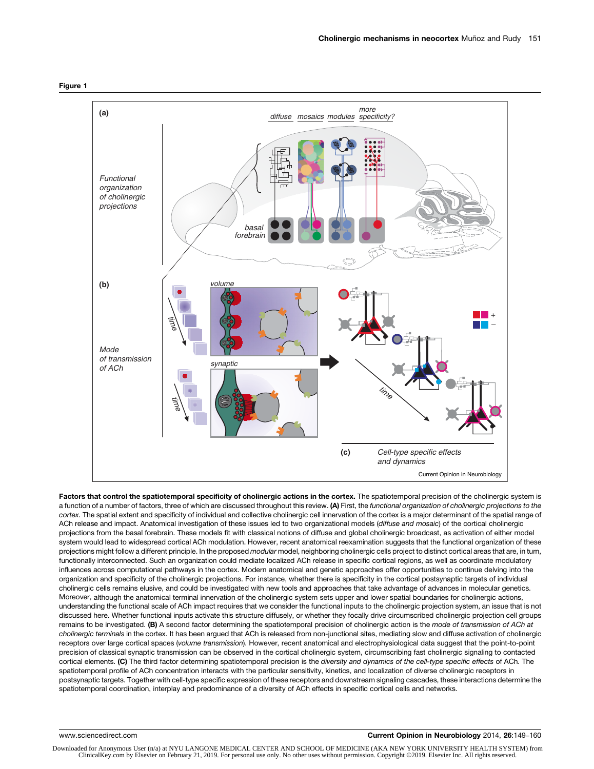

#### Factors that control the spatiotemporal specificity of cholinergic actions in the cortex. The spatiotemporal precision of the cholinergic system is a function of a number of factors, three of which are discussed throughout this review. (A) First, the functional organization of cholinergic projections to the cortex. The spatial extent and specificity of individual and collective cholinergic cell innervation of the cortex is a major determinant of the spatial range of ACh release and impact. Anatomical investigation of these issues led to two organizational models (diffuse and mosaic) of the cortical cholinergic projections from the basal forebrain. These models fit with classical notions of diffuse and global cholinergic broadcast, as activation of either model system would lead to widespread cortical ACh modulation. However, recent anatomical reexamination suggests that the functional organization of these projections might follow a different principle. In the proposed modular model, neighboring cholinergic cells project to distinct cortical areas that are, in turn, functionally interconnected. Such an organization could mediate localized ACh release in specific cortical regions, as well as coordinate modulatory influences across computational pathways in the cortex. Modern anatomical and genetic approaches offer opportunities to continue delying into the organization and specificity of the cholinergic projections. For instance, whether there is specificity in the cortical postsynaptic targets of individual cholinergic cells remains elusive, and could be investigated with new tools and approaches that take advantage of advances in molecular genetics. Moreover, although the anatomical terminal innervation of the cholinergic system sets upper and lower spatial boundaries for cholinergic actions, understanding the functional scale of ACh impact requires that we consider the functional inputs to the cholinergic projection system, an issue that is not discussed here. Whether functional inputs activate this structure diffusely, or whether they focally drive circumscribed cholinergic projection cell groups remains to be investigated. (B) A second factor determining the spatiotemporal precision of cholinergic action is the mode of transmission of ACh at cholinergic terminals in the cortex. It has been argued that ACh is released from non-junctional sites, mediating slow and diffuse activation of cholinergic receptors over large cortical spaces (volume transmission). However, recent anatomical and electrophysiological data suggest that the point-to-point precision of classical synaptic transmission can be observed in the cortical cholinergic system, circumscribing fast cholinergic signaling to contacted cortical elements. (C) The third factor determining spatiotemporal precision is the diversity and dynamics of the cell-type specific effects of ACh. The spatiotemporal profile of ACh concentration interacts with the particular sensitivity, kinetics, and localization of diverse cholinergic receptors in postsynaptic targets. Together with cell-type specific expression of these receptors and downstream signaling cascades, these interactions determine the spatiotemporal coordination, interplay and predominance of a diversity of ACh effects in specific cortical cells and networks.

### www.sciencedirect.com **Current Opinion in Neurobiology** 2014, 26:149-160

 Downloaded for Anonymous User (n/a) at NYU LANGONE MEDICAL CENTER AND SCHOOL OF MEDICINE (AKA NEW YORK UNIVERSITY HEALTH SYSTEM) from ClinicalKey.com by Elsevier on February 21, 2019. For personal use only. No other uses without permission. Copyright ©2019. Elsevier Inc. All rights reserved.

#### <span id="page-2-0"></span>Figure 1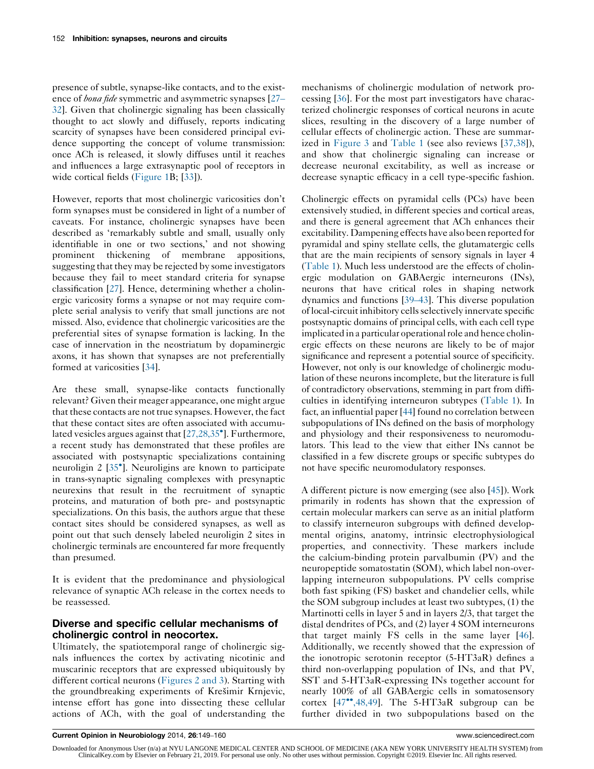presence of subtle, synapse-like contacts, and to the existence of *bona fide* symmetric and asymmetric synapses [\[27](#page-10-0)– [32\]](#page-10-0). Given that cholinergic signaling has been classically thought to act slowly and diffusely, reports indicating scarcity of synapses have been considered principal evidence supporting the concept of volume transmission: once ACh is released, it slowly diffuses until it reaches and influences a large extrasynaptic pool of receptors in wide cortical fields ([Figure](#page-2-0) 1B; [\[33\]](#page-10-0)).

However, reports that most cholinergic varicosities don't form synapses must be considered in light of a number of caveats. For instance, cholinergic synapses have been described as 'remarkably subtle and small, usually only identifiable in one or two sections,' and not showing prominent thickening of membrane appositions, suggesting that they may be rejected by some investigators because they fail to meet standard criteria for synapse classification [[27\]](#page-10-0). Hence, determining whether a cholinergic varicosity forms a synapse or not may require complete serial analysis to verify that small junctions are not missed. Also, evidence that cholinergic varicosities are the preferential sites of synapse formation is lacking. In the case of innervation in the neostriatum by dopaminergic axons, it has shown that synapses are not preferentially formed at varicosities [[34\]](#page-10-0).

Are these small, synapse-like contacts functionally relevant? Given their meager appearance, one might argue that these contacts are not true synapses. However, the fact that these contact sites are often associated with accumu-lated vesicles argues against that [\[27,28,35](#page-10-0)<sup>°</sup>]. Furthermore, a recent study has demonstrated that these profiles are associated with postsynaptic specializations containing neuroligin 2 [\[35](#page-10-0)<sup>°</sup>]. Neuroligins are known to participate in trans-synaptic signaling complexes with presynaptic neurexins that result in the recruitment of synaptic proteins, and maturation of both pre- and postsynaptic specializations. On this basis, the authors argue that these contact sites should be considered synapses, as well as point out that such densely labeled neuroligin 2 sites in cholinergic terminals are encountered far more frequently than presumed.

It is evident that the predominance and physiological relevance of synaptic ACh release in the cortex needs to be reassessed.

### Diverse and specific cellular mechanisms of cholinergic control in neocortex.

Ultimately, the spatiotemporal range of cholinergic signals influences the cortex by activating nicotinic and muscarinic receptors that are expressed ubiquitously by different cortical neurons [\(Figures](#page-4-0) 2 and 3). Starting with the groundbreaking experiments of Krešimir Krnjevic, intense effort has gone into dissecting these cellular actions of ACh, with the goal of understanding the

mechanisms of cholinergic modulation of network processing [[36\]](#page-10-0). For the most part investigators have characterized cholinergic responses of cortical neurons in acute slices, resulting in the discovery of a large number of cellular effects of cholinergic action. These are summarized in [Figure](#page-5-0) 3 and [Table](#page-6-0) 1 (see also reviews [[37,38](#page-10-0)]), and show that cholinergic signaling can increase or decrease neuronal excitability, as well as increase or decrease synaptic efficacy in a cell type-specific fashion.

Cholinergic effects on pyramidal cells (PCs) have been extensively studied, in different species and cortical areas, and there is general agreement that ACh enhances their excitability. Dampening effects have also been reported for pyramidal and spiny stellate cells, the glutamatergic cells that are the main recipients of sensory signals in layer 4 [\(Table](#page-6-0) 1). Much less understood are the effects of cholinergic modulation on GABAergic interneurons (INs), neurons that have critical roles in shaping network dynamics and functions [\[39](#page-10-0)–43]. This diverse population oflocal-circuitinhibitory cellsselectively innervate specific postsynaptic domains of principal cells, with each cell type implicated in a particular operational role and hence cholinergic effects on these neurons are likely to be of major significance and represent a potential source of specificity. However, not only is our knowledge of cholinergic modulation of these neurons incomplete, but the literature is full of contradictory observations, stemming in part from difficulties in identifying interneuron subtypes [\(Table](#page-6-0) 1). In fact, an influential paper [[44](#page-10-0)] found no correlation between subpopulations of INs defined on the basis of morphology and physiology and their responsiveness to neuromodulators. This lead to the view that either INs cannot be classified in a few discrete groups or specific subtypes do not have specific neuromodulatory responses.

A different picture is now emerging (see also [\[45](#page-10-0)]). Work primarily in rodents has shown that the expression of certain molecular markers can serve as an initial platform to classify interneuron subgroups with defined developmental origins, anatomy, intrinsic electrophysiological properties, and connectivity. These markers include the calcium-binding protein parvalbumin (PV) and the neuropeptide somatostatin (SOM), which label non-overlapping interneuron subpopulations. PV cells comprise both fast spiking (FS) basket and chandelier cells, while the SOM subgroup includes at least two subtypes, (1) the Martinotti cells in layer 5 and in layers 2/3, that target the distal dendrites of PCs, and (2) layer 4 SOM interneurons that target mainly FS cells in the same layer [[46](#page-10-0)]. Additionally, we recently showed that the expression of the ionotropic serotonin receptor (5-HT3aR) defines a third non-overlapping population of INs, and that PV, SST and 5-HT3aR-expressing INs together account for nearly 100% of all GABAergic cells in somatosensory cortex [\[47](#page-10-0)<sup>\*\*</sup>[,48,49](#page-10-0)]. The 5-HT3aR subgroup can be further divided in two subpopulations based on the

Current Opinion in Neurobiology 2014, 26:149–160 www.sciencedirect.com

Downloaded for Anonymous User (n/a) at NYU LANGONE MEDICAL CENTER AND SCHOOL OF MEDICINE (AKA NEW YORK UNIVERSITY HEALTH SYSTEM) from ClinicalKey.com by Elsevier on February 21, 2019. For personal use only. No other uses without permission. Copyright ©2019. Elsevier Inc. All rights reserved.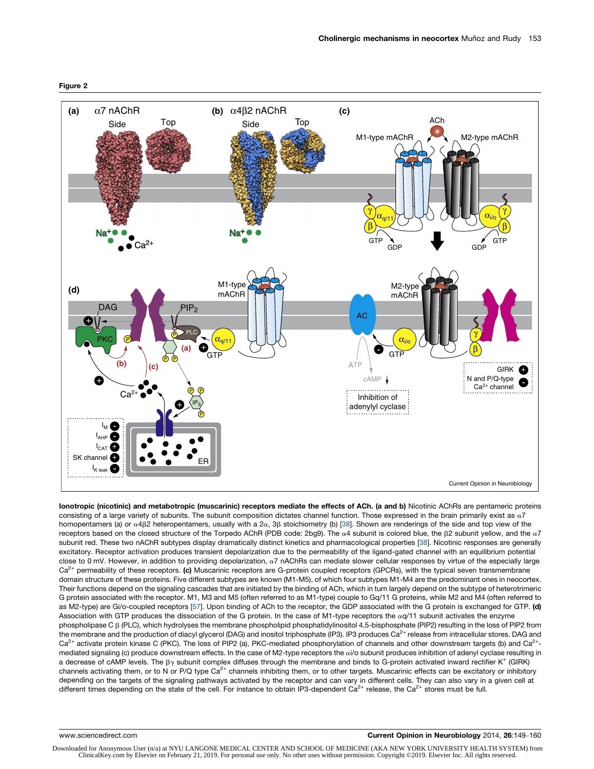

#### <span id="page-4-0"></span>Figure 2

Ionotropic (nicotinic) and metabotropic (muscarinic) receptors mediate the effects of ACh. (a and b) Nicotinic AChRs are pentameric proteins consisting of a large variety of subunits. The subunit composition dictates channel function. Those expressed in the brain primarily exist as  $\alpha$ 7 homopentamers (a) or  $\alpha$ 4 $\beta$ 2 heteropentamers, usually with a 2 $\alpha$ , 3 $\beta$  stoichiometry (b) [[38](#page-10-0)]. Shown are renderings of the side and top view of the receptors based on the closed structure of the Torpedo AChR (PDB code: 2bg9). The  $\alpha$ 4 subunit is colored blue, the  $\beta$ 2 subunit yellow, and the  $\alpha$ 7 subunit red. These two nAChR subtypes display dramatically distinct kinetics and pharmacological properties [[38\]](#page-10-0). Nicotinic responses are generally excitatory. Receptor activation produces transient depolarization due to the permeability of the ligand-gated channel with an equilibrium potential close to 0 mV. However, in addition to providing depolarization,  $\alpha$ 7 nAChRs can mediate slower cellular responses by virtue of the especially large  $Ca<sup>2+</sup>$  permeability of these receptors. (c) Muscarinic receptors are G-protein coupled receptors (GPCRs), with the typical seven transmembrane domain structure of these proteins. Five different subtypes are known (M1-M5), of which four subtypes M1-M4 are the predominant ones in neocortex. Their functions depend on the signaling cascades that are initiated by the binding of ACh, which in turn largely depend on the subtype of heterotrimeric G protein associated with the receptor. M1, M3 and M5 (often referred to as M1-type) couple to Gq/11 G proteins, while M2 and M4 (often referred to as M2-type) are Gi/o-coupled receptors [[57\]](#page-10-0). Upon binding of ACh to the receptor, the GDP associated with the G protein is exchanged for GTP. (d) Association with GTP produces the dissociation of the G protein. In the case of M1-type receptors the  $\alpha q/11$  subunit activates the enzyme phospholipase C b (PLC), which hydrolyses the membrane phospholipid phosphatidylinositol 4,5-bisphosphate (PIP2) resulting in the loss of PIP2 from the membrane and the production of diacyl glycerol (DAG) and inositol triphosphate (IP3). IP3 produces Ca<sup>2+</sup> release from intracellular stores. DAG and  $Ca<sup>2+</sup>$  activate protein kinase C (PKC). The loss of PIP2 (a), PKC-mediated phosphorylation of channels and other downstream targets (b) and  $Ca<sup>2+</sup>$ mediated signaling (c) produce downstream effects. In the case of M2-type receptors the  $\alpha i/\sigma$  subunit produces inhibition of adenyl cyclase resulting in a decrease of cAMP levels. The  $\beta\gamma$  subunit complex diffuses through the membrane and binds to G-protein activated inward rectifier K<sup>+</sup> (GIRK) channels activating them, or to N or P/Q type  $Ca<sup>2+</sup>$  channels inhibiting them, or to other targets. Muscarinic effects can be excitatory or inhibitory depending on the targets of the signaling pathways activated by the receptor and can vary in different cells. They can also vary in a given cell at different times depending on the state of the cell. For instance to obtain IP3-dependent Ca<sup>2+</sup> release, the Ca<sup>2+</sup> stores must be full.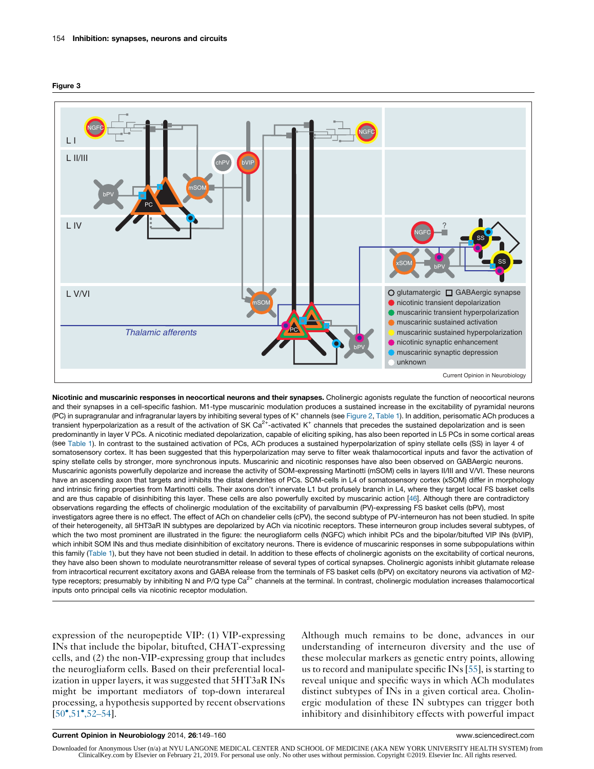<span id="page-5-0"></span>



Nicotinic and muscarinic responses in neocortical neurons and their synapses. Cholinergic agonists regulate the function of neocortical neurons and their synapses in a cell-specific fashion. M1-type muscarinic modulation produces a sustained increase in the excitability of pyramidal neurons (PC) in supragranular and infragranular layers by inhibiting several types of K<sup>+</sup> channels (see [Figure](#page-4-0) 2, [Table](#page-6-0) 1). In addition, perisomatic ACh produces a transient hyperpolarization as a result of the activation of SK Ca<sup>2+</sup>-activated K<sup>+</sup> channels that precedes the sustained depolarization and is seen predominantly in layer V PCs. A nicotinic mediated depolarization, capable of eliciting spiking, has also been reported in L5 PCs in some cortical areas (see [Table](#page-6-0) 1). In contrast to the sustained activation of PCs, ACh produces a sustained hyperpolarization of spiny stellate cells (SS) in layer 4 of somatosensory cortex. It has been suggested that this hyperpolarization may serve to filter weak thalamocortical inputs and favor the activation of spiny stellate cells by stronger, more synchronous inputs. Muscarinic and nicotinic responses have also been observed on GABAergic neurons. Muscarinic agonists powerfully depolarize and increase the activity of SOM-expressing Martinotti (mSOM) cells in layers II/III and V/VI. These neurons have an ascending axon that targets and inhibits the distal dendrites of PCs. SOM-cells in L4 of somatosensory cortex (xSOM) differ in morphology and intrinsic firing properties from Martinotti cells. Their axons don't innervate L1 but profusely branch in L4, where they target local FS basket cells and are thus capable of disinhibiting this layer. These cells are also powerfully excited by muscarinic action [\[46](#page-10-0)]. Although there are contradictory observations regarding the effects of cholinergic modulation of the excitability of parvalbumin (PV)-expressing FS basket cells (bPV), most investigators agree there is no effect. The effect of ACh on chandelier cells (cPV), the second subtype of PV-interneuron has not been studied. In spite of their heterogeneity, all 5HT3aR IN subtypes are depolarized by ACh via nicotinic receptors. These interneuron group includes several subtypes, of which the two most prominent are illustrated in the figure: the neurogliaform cells (NGFC) which inhibit PCs and the bipolar/bitufted VIP INs (bVIP), which inhibit SOM INs and thus mediate disinhibition of excitatory neurons. There is evidence of muscarinic responses in some subpopulations within this family [\(Table](#page-6-0) 1), but they have not been studied in detail. In addition to these effects of cholinergic agonists on the excitability of cortical neurons, they have also been shown to modulate neurotransmitter release of several types of cortical synapses. Cholinergic agonists inhibit glutamate release from intracortical recurrent excitatory axons and GABA release from the terminals of FS basket cells (bPV) on excitatory neurons via activation of M2 type receptors; presumably by inhibiting N and P/Q type  $Ca<sup>2+</sup>$  channels at the terminal. In contrast, cholinergic modulation increases thalamocortical inputs onto principal cells via nicotinic receptor modulation.

expression of the neuropeptide VIP: (1) VIP-expressing INs that include the bipolar, bitufted, CHAT-expressing cells, and (2) the non-VIP-expressing group that includes the neurogliaform cells. Based on their preferential localization in upper layers, it was suggested that 5HT3aR INs might be important mediators of top-down interareal processing, a hypothesis supported by recent observations  $[50^{\circ}, 51^{\circ}, 52 - 54]$  $[50^{\circ}, 51^{\circ}, 52 - 54]$ .

Although much remains to be done, advances in our understanding of interneuron diversity and the use of these molecular markers as genetic entry points, allowing us to record and manipulate specific INs [\[55](#page-10-0)], is starting to reveal unique and specific ways in which ACh modulates distinct subtypes of INs in a given cortical area. Cholinergic modulation of these IN subtypes can trigger both inhibitory and disinhibitory effects with powerful impact

Current Opinion in Neurobiology 2014, 26:149–160 www.sciencedirect.com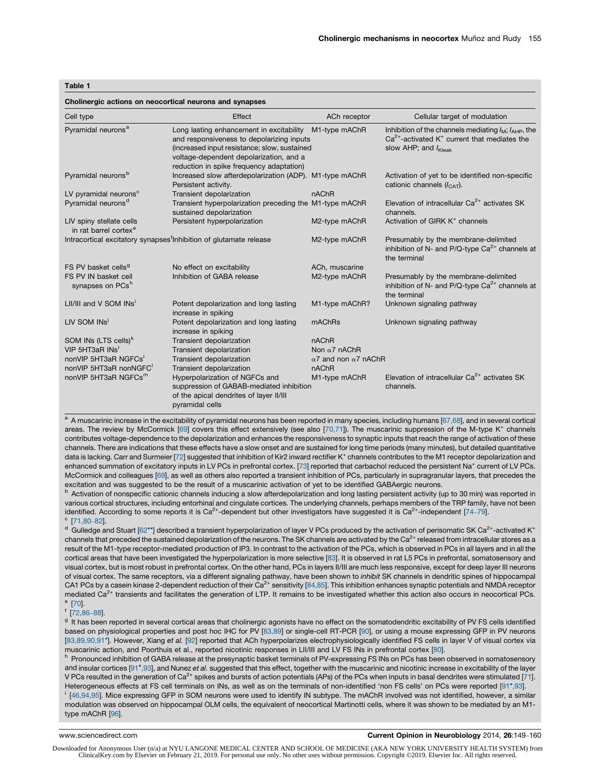#### <span id="page-6-0"></span>Table 1

#### Cholinergic actions on neocortical neurons and synapses

| Cell type                                                     | Effect                                                                                                                                                                                                                                     | ACh receptor                        | Cellular target of modulation                                                                                                                           |
|---------------------------------------------------------------|--------------------------------------------------------------------------------------------------------------------------------------------------------------------------------------------------------------------------------------------|-------------------------------------|---------------------------------------------------------------------------------------------------------------------------------------------------------|
| Pyramidal neurons <sup>a</sup>                                | Long lasting enhancement in excitability M1-type mAChR<br>and responsiveness to depolarizing inputs<br>(increased input resistance; slow, sustained<br>voltage-dependent depolarization, and a<br>reduction in spike frequency adaptation) |                                     | Inhibition of the channels mediating $I_M$ ; $I_{AHP}$ , the<br>$Ca2+$ -activated K <sup>+</sup> current that mediates the<br>slow AHP; and $I_{Kleak}$ |
| Pyramidal neurons <sup>b</sup>                                | Increased slow afterdepolarization (ADP). M1-type mAChR<br>Persistent activity.                                                                                                                                                            |                                     | Activation of yet to be identified non-specific<br>cationic channels $(l_{\text{CAT}})$ .                                                               |
| LV pyramidal neurons <sup>c</sup>                             | Transient depolarization                                                                                                                                                                                                                   | nAChR                               |                                                                                                                                                         |
| Pyramidal neurons <sup>d</sup>                                | Transient hyperpolarization preceding the M1-type mAChR<br>sustained depolarization                                                                                                                                                        |                                     | Elevation of intracellular $Ca^{2+}$ activates SK<br>channels.                                                                                          |
| LIV spiny stellate cells<br>in rat barrel cortex <sup>e</sup> | Persistent hyperpolarization                                                                                                                                                                                                               | M2-type mAChR                       | Activation of GIRK K <sup>+</sup> channels                                                                                                              |
|                                                               | Intracortical excitatory synapses Inhibition of glutamate release                                                                                                                                                                          | M2-type mAChR                       | Presumably by the membrane-delimited<br>inhibition of N- and $P/Q$ -type $Ca^{2+}$ channels at<br>the terminal                                          |
| FS PV basket cells <sup>9</sup>                               | No effect on excitability                                                                                                                                                                                                                  | ACh, muscarine                      |                                                                                                                                                         |
| FS PV IN basket cell<br>synapses on PCs <sup>h</sup>          | Inhibition of GABA release                                                                                                                                                                                                                 | M2-type mAChR                       | Presumably by the membrane-delimited<br>inhibition of N- and P/Q-type $Ca^{2+}$ channels at<br>the terminal                                             |
| LII/III and V SOM INs <sup>1</sup>                            | Potent depolarization and long lasting<br>increase in spiking                                                                                                                                                                              | M1-type mAChR?                      | Unknown signaling pathway                                                                                                                               |
| LIV SOM INSI                                                  | Potent depolarization and long lasting<br>increase in spiking                                                                                                                                                                              | mAChRs                              | Unknown signaling pathway                                                                                                                               |
| SOM INs (LTS cells) <sup>k</sup>                              | Transient depolarization                                                                                                                                                                                                                   | nAChR                               |                                                                                                                                                         |
| VIP 5HT3aR INs <sup>1</sup>                                   | Transient depolarization                                                                                                                                                                                                                   | Non $\alpha$ 7 nAChR                |                                                                                                                                                         |
| nonVIP 5HT3aR NGFCs                                           | Transient depolarization                                                                                                                                                                                                                   | $\alpha$ 7 and non $\alpha$ 7 nAChR |                                                                                                                                                         |
| nonVIP 5HT3aR nonNGFC                                         | Transient depolarization                                                                                                                                                                                                                   | nAChR                               |                                                                                                                                                         |
| nonVIP 5HT3aR NGFCs <sup>m</sup>                              | Hyperpolarization of NGFCs and<br>suppression of GABAB-mediated inhibition<br>of the apical dendrites of layer II/III<br>pyramidal cells                                                                                                   | M1-type mAChR                       | Elevation of intracellular $Ca2+$ activates SK<br>channels.                                                                                             |

<sup>a</sup> A muscarinic increase in the excitability of pyramidal neurons has been reported in many species, including humans [\[67,68](#page-11-0)], and in several cortical areas. The review by McCormick [\[69](#page-11-0)] covers this effect extensively (see also [\[70,71](#page-11-0)]). The muscarinic suppression of the M-type K<sup>+</sup> channels contributes voltage-dependence to the depolarization and enhances the responsiveness to synaptic inputs that reach the range of activation of these channels. There are indications that these effects have a slow onset and are sustained for long time periods (many minutes), but detailed quantitative data is lacking. Carr and Surmeier [\[72](#page-11-0)] suggested that inhibition of Kir2 inward rectifier K<sup>+</sup> channels contributes to the M1 receptor depolarization and enhanced summation of excitatory inputs in LV PCs in prefrontal cortex. [[73\]](#page-11-0) reported that carbachol reduced the persistent Na<sup>+</sup> current of LV PCs. McCormick and colleagues [\[69](#page-11-0)], as well as others also reported a transient inhibition of PCs, particularly in supragranular layers, that precedes the excitation and was suggested to be the result of a muscarinic activation of yet to be identified GABAergic neurons.

<sup>b</sup> Activation of nonspecific cationic channels inducing a slow afterdepolarization and long lasting persistent activity (up to 30 min) was reported in various cortical structures, including entorhinal and cingulate cortices. The underlying channels, perhaps members of the TRP family, have not been identified. According to some reports it is  $Ca^{2+}$ -dependent but other investigators have suggested it is  $Ca^{2+}$ -independent [\[74](#page-11-0)–79].  $C$  [\[71,80](#page-11-0)-82].

<sup>d</sup> Gulledge and Stuart [[62](#page-10-0)<sup>\*</sup>"] described a transient hyperpolarization of layer V PCs produced by the activation of perisomatic SK Ca<sup>2+</sup>-activated K<sup>+</sup> channels that preceded the sustained depolarization of the neurons. The SK channels are activated by the Ca $^{2+}$  released from intracellular stores as a result of the M1-type receptor-mediated production of IP3. In contrast to the activation of the PCs, which is observed in PCs in all layers and in all the cortical areas that have been investigated the hyperpolarization is more selective [\[83](#page-11-0)]. It is observed in rat L5 PCs in prefrontal, somatosensory and visual cortex, but is most robust in prefrontal cortex. On the other hand, PCs in layers II/III are much less responsive, except for deep layer III neurons of visual cortex. The same receptors, via a different signaling pathway, have been shown to inhibit SK channels in dendritic spines of hippocampal CA1 PCs by a casein kinase 2-dependent reduction of their Ca<sup>2+</sup> sensitivity [[84,85](#page-11-0)]. This inhibition enhances synaptic potentials and NMDA receptor mediated Ca<sup>2+</sup> transients and facilitates the generation of LTP. It remains to be investigated whether this action also occurs in neocortical PCs.

<sup>e</sup> [\[70\]](#page-11-0).<br><sup>f</sup> [72,86–88].

<sup>g</sup> It has been reported in several cortical areas that cholinergic agonists have no effect on the somatodendritic excitability of PV FS cells identified based on physiological properties and post hoc IHC for PV [[83,89](#page-11-0)] or single-cell RT-PCR [[90\]](#page-11-0), or using a mouse expressing GFP in PV neurons [[83,89,90,91](#page-11-0)°]. However, Xiang et al. [\[92\]](#page-11-0) reported that ACh hyperpolarizes electrophysiologically identified FS cells in layer V of visual cortex via muscarinic action, and Poorthuis et al., reported nicotinic responses in LII/III and LV FS INs in prefrontal cortex [\[80](#page-11-0)].

h Pronounced inhibition of GABA release at the presynaptic basket terminals of PV-expressing FS INs on PCs has been observed in somatosensory and insular cortices [[91](#page-11-0)°[,93](#page-11-0)], and Nunez et al. suggested that this effect, together with the muscarinic and nicotinic increase in excitability of the layer V PCs resulted in the generation of  $Ca^{2+}$  spikes and bursts of action potentials (APs) of the PCs when inputs in basal dendrites were stimulated [\[71](#page-11-0)]. Heterogeneous effects at FS cell terminals on INs, as well as on the terminals of non-identified 'non FS cells' on PCs were reported [[91](#page-11-0)°[,93](#page-11-0)].

<sup>i</sup> [[46,94,95\]](#page-10-0). Mice expressing GFP in SOM neurons were used to identify IN subtype. The mAChR involved was not identified, however, a similar modulation was observed on hippocampal OLM cells, the equivalent of neocortical Martinotti cells, where it was shown to be mediated by an M1 type mAChR [\[96\]](#page-11-0).

### www.sciencedirect.com **Current Opinion in Neurobiology** 2014, 26:149-160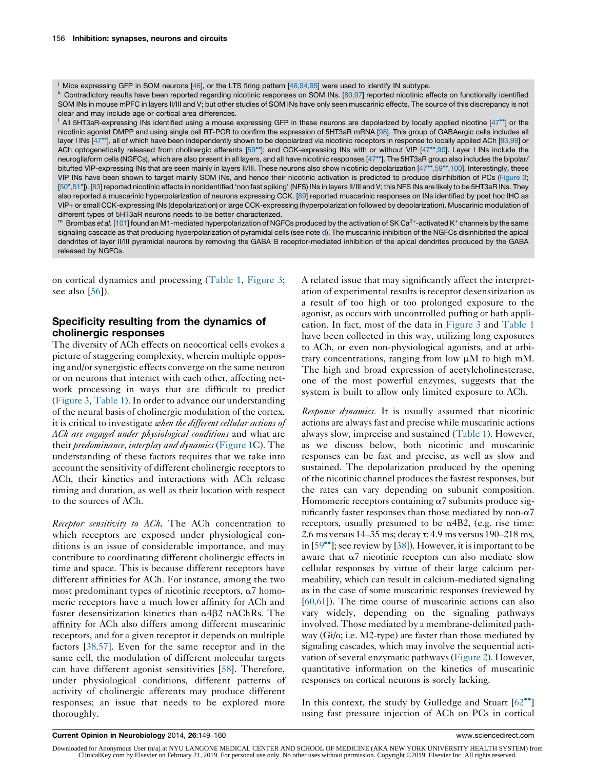<span id="page-7-0"></span> $j$  Mice expressing GFP in SOM neurons [[46](#page-10-0)], or the LTS firing pattern [[46,94,95\]](#page-10-0) were used to identify IN subtype.

<sup>k</sup> Contradictory results have been reported regarding nicotinic responses on SOM INs. [\[80,97\]](#page-11-0) reported nicotinic effects on functionally identified SOM INs in mouse mPFC in layers II/III and V; but other studies of SOM INs have only seen muscarinic effects. The source of this discrepancy is not clear and may include age or cortical area differences.

All 5HT3aR-expressing INs identified using a mouse expressing GFP in these neurons are depolarized by locally applied nicotine [[47](#page-10-0)<sup>\*</sup>] or the nicotinic agonist DMPP and using single cell RT-PCR to confirm the expression of 5HT3aR mRNA [[98](#page-11-0)]. This group of GABAergic cells includes all layer I INs [\[47](#page-10-0)\*\*], all of which have been independently shown to be depolarized via nicotinic receptors in response to locally applied ACh [\[83,99\]](#page-11-0) or ACh optogenetically released from cholinergic afferents [\[59](#page-10-0)\*\*]; and CCK-expressing INs with or without VIP [\[47](#page-10-0)\*\*[,90\]](#page-10-0). Layer I INs include the neurogliaform cells (NGFCs), which are also present in all layers, and all have nicotinic responses [[47](#page-10-0)\*\*]. The 5HT3aR group also includes the bipolar/ bitufted VIP-expressing INs that are seen mainly in layers II/III. These neurons also show nicotinic depolarization [[47](#page-10-0)\*\*[,59](#page-10-0)\*\*[,100\]](#page-10-0). Interestingly, these VIP INs have been shown to target mainly SOM INs, and hence their nicotinic activation is predicted to produce disinhibition of PCs ([Figure](#page-5-0) 3; [[50](#page-10-0)°[,51](#page-10-0)°]). [\[83\]](#page-11-0) reported nicotinic effects in nonidentified 'non fast spiking' (NFS) INs in layers II/III and V; this NFS INs are likely to be 5HT3aR INs. They also reported a muscarinic hyperpolarization of neurons expressing CCK. [[89\]](#page-11-0) reported muscarinic responses on INs identified by post hoc IHC as VIP+ or small CCK-expressing INs (depolarization) or large CCK-expressing (hyperpolarization followed by depolarization). Muscarinic modulation of different types of 5HT3aR neurons needs to be better characterized.

 $<sup>m</sup>$  Brombas et al. [\[101](#page-11-0)] found an M1-mediated hyperpolarization of NGFCs produced by the activation of SK Ca<sup>2+</sup>-activated K<sup>+</sup> channels by the same</sup> signaling cascade as that producing hyperpolarization of pyramidal cells (see note [d\)](#page-6-0). The muscarinic inhibition of the NGFCs disinhibited the apical dendrites of layer II/III pyramidal neurons by removing the GABA B receptor-mediated inhibition of the apical dendrites produced by the GABA released by NGFCs.

on cortical dynamics and processing [\(Table](#page-6-0) 1, [Figure](#page-5-0) 3; see also [[56\]](#page-10-0)).

## Specificity resulting from the dynamics of cholinergic responses

The diversity of ACh effects on neocortical cells evokes a picture of staggering complexity, wherein multiple opposing and/or synergistic effects converge on the same neuron or on neurons that interact with each other, affecting network processing in ways that are difficult to predict [\(Figure](#page-5-0) 3, [Table](#page-6-0) 1). In order to advance our understanding of the neural basis of cholinergic modulation of the cortex, it is critical to investigate when the different cellular actions of ACh are engaged under physiological conditions and what are their predominance, interplay and dynamics [\(Figure](#page-2-0) 1C). The understanding of these factors requires that we take into account the sensitivity of different cholinergic receptors to ACh, their kinetics and interactions with ACh release timing and duration, as well as their location with respect to the sources of ACh.

Receptor sensitivity to ACh. The ACh concentration to which receptors are exposed under physiological conditions is an issue of considerable importance, and may contribute to coordinating different cholinergic effects in time and space. This is because different receptors have different affinities for ACh. For instance, among the two most predominant types of nicotinic receptors,  $\alpha$ 7 homomeric receptors have a much lower affinity for ACh and faster desensitization kinetics than  $\alpha$ 4 $\beta$ 2 nAChRs. The affinity for ACh also differs among different muscarinic receptors, and for a given receptor it depends on multiple factors [\[38,57\]](#page-10-0). Even for the same receptor and in the same cell, the modulation of different molecular targets can have different agonist sensitivities [[58\]](#page-10-0). Therefore, under physiological conditions, different patterns of activity of cholinergic afferents may produce different responses; an issue that needs to be explored more thoroughly.

A related issue that may significantly affect the interpretation of experimental results is receptor desensitization as a result of too high or too prolonged exposure to the agonist, as occurs with uncontrolled puffing or bath application. In fact, most of the data in [Figure](#page-5-0) 3 and [Table](#page-6-0) 1 have been collected in this way, utilizing long exposures to ACh, or even non-physiological agonists, and at arbitrary concentrations, ranging from low  $\mu$ M to high mM. The high and broad expression of acetylcholinesterase, one of the most powerful enzymes, suggests that the system is built to allow only limited exposure to ACh.

Response dynamics. It is usually assumed that nicotinic actions are alwaysfast and precise while muscarinic actions always slow, imprecise and sustained ([Table](#page-6-0) 1). However, as we discuss below, both nicotinic and muscarinic responses can be fast and precise, as well as slow and sustained. The depolarization produced by the opening of the nicotinic channel produces the fastest responses, but the rates can vary depending on subunit composition. Homomeric receptors containing  $\alpha$ 7 subunits produce significantly faster responses than those mediated by non- $\alpha$ 7 receptors, usually presumed to be  $\alpha$ 4B2, (e.g. rise time: 2.6 ms versus  $14-35$  ms; decay  $\tau$ : 4.9 ms versus  $190-218$  ms, in [\[59](#page-10-0)\*\*]; see review by [\[38](#page-10-0)]). However, it is important to be aware that  $\alpha$ 7 nicotinic receptors can also mediate slow cellular responses by virtue of their large calcium permeability, which can result in calcium-mediated signaling as in the case of some muscarinic responses (reviewed by [\[60,61](#page-10-0)]). The time course of muscarinic actions can also vary widely, depending on the signaling pathways involved. Those mediated by a membrane-delimited pathway (Gi/o; i.e. M2-type) are faster than those mediated by signaling cascades, which may involve the sequential acti-vation of several enzymatic pathways [\(Figure](#page-4-0) 2). However, quantitative information on the kinetics of muscarinic responses on cortical neurons is sorely lacking.

In this context, the study by Gulledge and Stuart  $[62^{\bullet\bullet}]$  $[62^{\bullet\bullet}]$  $[62^{\bullet\bullet}]$ using fast pressure injection of ACh on PCs in cortical

Current Opinion in Neurobiology 2014, 26:149–160 www.sciencedirect.com

Downloaded for Anonymous User (n/a) at NYU LANGONE MEDICAL CENTER AND SCHOOL OF MEDICINE (AKA NEW YORK UNIVERSITY HEALTH SYSTEM) from ClinicalKey.com by Elsevier on February 21, 2019. For personal use only. No other uses without permission. Copyright ©2019. Elsevier Inc. All rights reserved.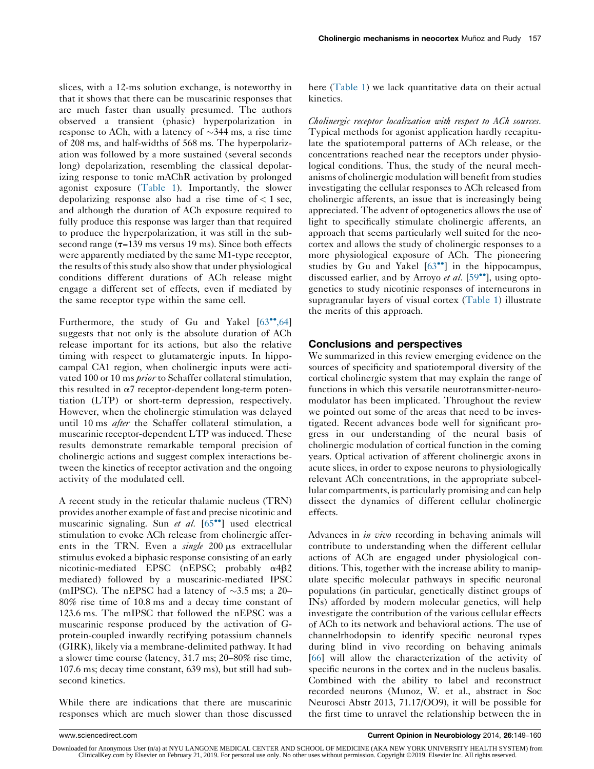slices, with a 12-ms solution exchange, is noteworthy in that it shows that there can be muscarinic responses that are much faster than usually presumed. The authors observed a transient (phasic) hyperpolarization in response to ACh, with a latency of  $\sim$ 344 ms, a rise time of 208 ms, and half-widths of 568 ms. The hyperpolarization was followed by a more sustained (several seconds long) depolarization, resembling the classical depolarizing response to tonic mAChR activation by prolonged agonist exposure [\(Table](#page-6-0) 1). Importantly, the slower depolarizing response also had a rise time of  $< 1$  sec, and although the duration of ACh exposure required to fully produce this response was larger than that required to produce the hyperpolarization, it was still in the subsecond range  $(\tau=139 \text{ ms} \text{ versus } 19 \text{ ms})$ . Since both effects were apparently mediated by the same M1-type receptor, the results of this study also show that under physiological conditions different durations of ACh release might engage a different set of effects, even if mediated by the same receptor type within the same cell.

Furthermore, the study of Gu and Yakel [[63](#page-10-0)\*[,64\]](#page-10-0) suggests that not only is the absolute duration of ACh release important for its actions, but also the relative timing with respect to glutamatergic inputs. In hippocampal CA1 region, when cholinergic inputs were activated 100 or 10 ms *prior* to Schaffer collateral stimulation, this resulted in  $\alpha$ 7 receptor-dependent long-term potentiation (LTP) or short-term depression, respectively. However, when the cholinergic stimulation was delayed until 10 ms after the Schaffer collateral stimulation, a muscarinic receptor-dependent LTP was induced. These results demonstrate remarkable temporal precision of cholinergic actions and suggest complex interactions between the kinetics of receptor activation and the ongoing activity of the modulated cell.

A recent study in the reticular thalamic nucleus (TRN) provides another example of fast and precise nicotinic and muscarinic signaling. Sun et al. [[65](#page-11-0)\*] used electrical stimulation to evoke ACh release from cholinergic afferents in the TRN. Even a  $single$  200  $\mu$ s extracellular stimulus evoked a biphasic response consisting of an early nicotinic-mediated EPSC (nEPSC; probably  $\alpha$ 4 $\beta$ 2 mediated) followed by a muscarinic-mediated IPSC (mIPSC). The nEPSC had a latency of  $\sim$ 3.5 ms; a 20– 80% rise time of 10.8 ms and a decay time constant of 123.6 ms. The mIPSC that followed the nEPSC was a muscarinic response produced by the activation of Gprotein-coupled inwardly rectifying potassium channels (GIRK), likely via a membrane-delimited pathway. It had a slower time course (latency, 31.7 ms; 20–80% rise time, 107.6 ms; decay time constant, 639 ms), but still had subsecond kinetics.

While there are indications that there are muscarinic responses which are much slower than those discussed here ([Table](#page-6-0) 1) we lack quantitative data on their actual kinetics.

Cholinergic receptor localization with respect to ACh sources. Typical methods for agonist application hardly recapitulate the spatiotemporal patterns of ACh release, or the concentrations reached near the receptors under physiological conditions. Thus, the study of the neural mechanisms of cholinergic modulation will benefit from studies investigating the cellular responses to ACh released from cholinergic afferents, an issue that is increasingly being appreciated. The advent of optogenetics allows the use of light to specifically stimulate cholinergic afferents, an approach that seems particularly well suited for the neocortex and allows the study of cholinergic responses to a more physiological exposure of ACh. The pioneering studies by Gu and Yakel [[63](#page-10-0)<sup>••</sup>] in the hippocampus, discussed earlier, and by Arroyo et al. [[59](#page-10-0)<sup>••</sup>], using optogenetics to study nicotinic responses of interneurons in supragranular layers of visual cortex [\(Table](#page-6-0) 1) illustrate the merits of this approach.

# Conclusions and perspectives

We summarized in this review emerging evidence on the sources of specificity and spatiotemporal diversity of the cortical cholinergic system that may explain the range of functions in which this versatile neurotransmitter-neuromodulator has been implicated. Throughout the review we pointed out some of the areas that need to be investigated. Recent advances bode well for significant progress in our understanding of the neural basis of cholinergic modulation of cortical function in the coming years. Optical activation of afferent cholinergic axons in acute slices, in order to expose neurons to physiologically relevant ACh concentrations, in the appropriate subcellular compartments, is particularly promising and can help dissect the dynamics of different cellular cholinergic effects.

Advances in *in vivo* recording in behaving animals will contribute to understanding when the different cellular actions of ACh are engaged under physiological conditions. This, together with the increase ability to manipulate specific molecular pathways in specific neuronal populations (in particular, genetically distinct groups of INs) afforded by modern molecular genetics, will help investigate the contribution of the various cellular effects of ACh to its network and behavioral actions. The use of channelrhodopsin to identify specific neuronal types during blind in vivo recording on behaving animals [[66](#page-11-0)] will allow the characterization of the activity of specific neurons in the cortex and in the nucleus basalis. Combined with the ability to label and reconstruct recorded neurons (Munoz, W. et al., abstract in Soc Neurosci Abstr 2013, 71.17/OO9), it will be possible for the first time to unravel the relationship between the in

www.sciencedirect.com **Current Opinion in Neurobiology** 2014, 26:149-160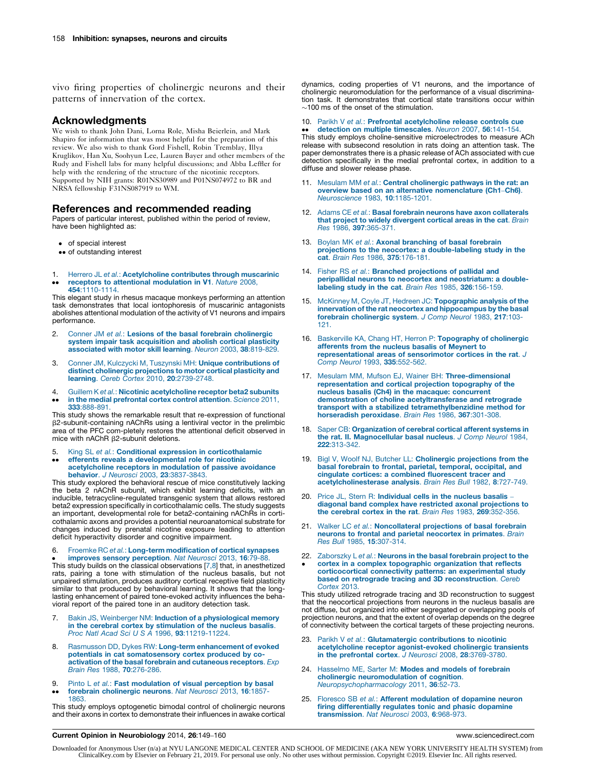<span id="page-9-0"></span>vivo firing properties of cholinergic neurons and their patterns of innervation of the cortex.

### Acknowledgments

We wish to thank John Dani, Lorna Role, Misha Beierlein, and Mark Shapiro for information that was most helpful for the preparation of this review. We also wish to thank Gord Fishell, Robin Tremblay, Illya Kruglikov, Han Xu, Soohyun Lee, Lauren Bayer and other members of the Rudy and Fishell labs for many helpful discussions; and Abba Leffler for help with the rendering of the structure of the nicotinic receptors. Supported by NIH grants: R01NS30989 and P01NS074972 to BR and NRSA fellowship F31NS087919 to WM.

### References and recommended reading

Papers of particular interest, published within the period of review, have been highlighted as:

- of special interest
- •• of outstanding interest
- 1. Herrero JL et al.: [Acetylcholine](http://refhub.elsevier.com/S0959-4388(14)00050-6/sbref0005) contributes through muscarinic receptors to attentional [modulation](http://refhub.elsevier.com/S0959-4388(14)00050-6/sbref0005) in V1. Nature 2008,
- $\bullet$ 454[:1110-1114.](http://refhub.elsevier.com/S0959-4388(14)00050-6/sbref0005)

This elegant study in rhesus macaque monkeys performing an attention task demonstrates that local iontophoresis of muscarinic antagonists abolishes attentional modulation of the activity of V1 neurons and impairs performance.

- 2. Conner JM et al.: Lesions of the basal forebrain [cholinergic](http://refhub.elsevier.com/S0959-4388(14)00050-6/sbref0010) system impair task [acquisition](http://refhub.elsevier.com/S0959-4388(14)00050-6/sbref0010) and abolish cortical plasticity [associated](http://refhub.elsevier.com/S0959-4388(14)00050-6/sbref0010) with motor skill learning. Neuron 2003, 38:819-829.
- 3. Conner JM, Kulczycki M, Tuszynski MH: Unique [contributions](http://refhub.elsevier.com/S0959-4388(14)00050-6/sbref0015) of distinct cholinergic [projections](http://refhub.elsevier.com/S0959-4388(14)00050-6/sbref0015) to motor cortical plasticity and learning. Cereb Cortex 2010, 20[:2739-2748.](http://refhub.elsevier.com/S0959-4388(14)00050-6/sbref0015)
- 4.  $\bullet$ Guillem K et al.: Nicotinic [acetylcholine](http://refhub.elsevier.com/S0959-4388(14)00050-6/sbref0020) receptor beta2 subunits in the medial [prefrontal](http://refhub.elsevier.com/S0959-4388(14)00050-6/sbref0020) cortex control attention. Science 2011, 333[:888-891.](http://refhub.elsevier.com/S0959-4388(14)00050-6/sbref0020)

This study shows the remarkable result that re-expression of functional b2-subunit-containing nAChRs using a lentiviral vector in the prelimbic area of the PFC com-pletely restores the attentional deficit observed in mice with nAChR  $\beta$ 2-subunit deletions.

- 5. King SL et al.: Conditional expression in [corticothalamic](http://refhub.elsevier.com/S0959-4388(14)00050-6/sbref0025)
- $\bullet$  $\bullet$ efferents reveals a [developmental](http://refhub.elsevier.com/S0959-4388(14)00050-6/sbref0025) role for nicotinic [acetylcholine](http://refhub.elsevier.com/S0959-4388(14)00050-6/sbref0025) receptors in modulation of passive avoidance behavior. J Neurosci 2003, 23[:3837-3843.](http://refhub.elsevier.com/S0959-4388(14)00050-6/sbref0025)

This study explored the behavioral rescue of mice constitutively lacking the beta 2 nAChR subunit, which exhibit learning deficits, with an inducible, tetracycline-regulated transgenic system that allows restored beta2 expression specifically in corticothalamic cells. The study suggests an important, developmental role for beta2-containing nAChRs in corticothalamic axons and provides a potential neuroanatomical substrate for changes induced by prenatal nicotine exposure leading to attention deficit hyperactivity disorder and cognitive impairment.

6. Froemke RC et al.: Long-term [modification](http://refhub.elsevier.com/S0959-4388(14)00050-6/sbref0030) of cortical synapses

- This study builds on the classical observations [7,8] that, in anesthetized improves sensory [perception](http://refhub.elsevier.com/S0959-4388(14)00050-6/sbref0030). Nat Neurosci 2013, 16:79-88. rats, pairing a tone with stimulation of the nucleus basalis, but not unpaired stimulation, produces auditory cortical receptive field plasticity similar to that produced by behavioral learning. It shows that the longlasting enhancement of paired tone-evoked activity influences the behavioral report of the paired tone in an auditory detection task.

- 7. Bakin JS, Weinberger NM: Induction of a [physiological](http://refhub.elsevier.com/S0959-4388(14)00050-6/sbref0035) memory in the cerebral cortex by [stimulation](http://refhub.elsevier.com/S0959-4388(14)00050-6/sbref0035) of the nucleus basalis. Proc Natl Acad Sci U S A 1996, 93[:11219-11224.](http://refhub.elsevier.com/S0959-4388(14)00050-6/sbref0035)
- 8. Rasmusson DD, Dykes RW: Long-term [enhancement](http://refhub.elsevier.com/S0959-4388(14)00050-6/sbref0040) of evoked potentials in cat [somatosensory](http://refhub.elsevier.com/S0959-4388(14)00050-6/sbref0040) cortex produced by coactivation of the basal forebrain and [cutaneous](http://refhub.elsevier.com/S0959-4388(14)00050-6/sbref0040) receptors. Exp Brain Res 1988, 70[:276-286.](http://refhub.elsevier.com/S0959-4388(14)00050-6/sbref0040)
- 9. Pinto L et al.: Fast [modulation](http://refhub.elsevier.com/S0959-4388(14)00050-6/sbref0045) of visual perception by basal
- $\bullet$  $\bullet$ forebrain [cholinergic](http://refhub.elsevier.com/S0959-4388(14)00050-6/sbref0045) neurons. Nat Neurosci 2013, 16:1857- [1863.](http://refhub.elsevier.com/S0959-4388(14)00050-6/sbref0045)

This study employs optogenetic bimodal control of cholinergic neurons and their axons in cortex to demonstrate their influences in awake cortical dynamics, coding properties of V1 neurons, and the importance of cholinergic neuromodulation for the performance of a visual discrimination task. It demonstrates that cortical state transitions occur within  $\sim$ 100 ms of the onset of the stimulation.

#### 10. Parikh V et al.: Prefrontal [acetylcholine](http://refhub.elsevier.com/S0959-4388(14)00050-6/sbref0050) release controls cue detection on multiple [timescales](http://refhub.elsevier.com/S0959-4388(14)00050-6/sbref0050). Neuron 2007, 56:141-154.

-This study employs choline-sensitive microelectrodes to measure ACh release with subsecond resolution in rats doing an attention task. The paper demonstrates there is a phasic release of ACh associated with cue detection specifically in the medial prefrontal cortex, in addition to a diffuse and slower release phase.

- 11. Mesulam MM et al.: Central [cholinergic](http://refhub.elsevier.com/S0959-4388(14)00050-6/sbref0055) pathways in the rat: an overview based on an alternative [nomenclature](http://refhub.elsevier.com/S0959-4388(14)00050-6/sbref0055) (Ch1–Ch6). [Neuroscience](http://refhub.elsevier.com/S0959-4388(14)00050-6/sbref0055) 1983, 10:1185-1201.
- Adams CE et al.: Basal forebrain neurons have axon [collaterals](http://refhub.elsevier.com/S0959-4388(14)00050-6/sbref0060) that project to widely [divergent](http://refhub.elsevier.com/S0959-4388(14)00050-6/sbref0060) cortical areas in the cat. Brain Res 1986, 397[:365-371.](http://refhub.elsevier.com/S0959-4388(14)00050-6/sbref0060)
- 13. Boylan MK et al.: Axonal [branching](http://refhub.elsevier.com/S0959-4388(14)00050-6/sbref0065) of basal forebrain projections to the neocortex: a [double-labeling](http://refhub.elsevier.com/S0959-4388(14)00050-6/sbref0065) study in the cat. Brain Res 1986, 375[:176-181.](http://refhub.elsevier.com/S0959-4388(14)00050-6/sbref0065)
- 14. Fisher RS et al.: Branched [projections](http://refhub.elsevier.com/S0959-4388(14)00050-6/sbref0070) of pallidal and peripallidal neurons to neocortex and [neostriatum:](http://refhub.elsevier.com/S0959-4388(14)00050-6/sbref0070) a double-labeling study in the cat. Brain Res 1985, 326[:156-159.](http://refhub.elsevier.com/S0959-4388(14)00050-6/sbref0070)
- 15. McKinney M, Coyle JT, Hedreen JC: [Topographic](http://refhub.elsevier.com/S0959-4388(14)00050-6/sbref0075) analysis of the innervation of the rat neocortex and [hippocampus](http://refhub.elsevier.com/S0959-4388(14)00050-6/sbref0075) by the basal forebrain [cholinergic](http://refhub.elsevier.com/S0959-4388(14)00050-6/sbref0075) system. J Comp Neurol 1983, 217:103- [121.](http://refhub.elsevier.com/S0959-4388(14)00050-6/sbref0075)
- 16. Baskerville KA, Chang HT, Herron P: [Topography](http://refhub.elsevier.com/S0959-4388(14)00050-6/sbref0080) of cholinergic [afferents](http://refhub.elsevier.com/S0959-4388(14)00050-6/sbref0080) from the nucleus basalis of Meynert to [representational](http://refhub.elsevier.com/S0959-4388(14)00050-6/sbref0080) areas of sensorimotor cortices in the rat. J Comp Neurol 1993, 335[:552-562.](http://refhub.elsevier.com/S0959-4388(14)00050-6/sbref0080)
- 17. Mesulam MM, Mufson EJ, Wainer BH: [Three-dimensional](http://refhub.elsevier.com/S0959-4388(14)00050-6/sbref0085) [representation](http://refhub.elsevier.com/S0959-4388(14)00050-6/sbref0085) and cortical projection topography of the nucleus basalis (Ch4) in the macaque: [concurrent](http://refhub.elsevier.com/S0959-4388(14)00050-6/sbref0085) demonstration of choline [acetyltransferase](http://refhub.elsevier.com/S0959-4388(14)00050-6/sbref0085) and retrograde transport with a stabilized [tetramethylbenzidine](http://refhub.elsevier.com/S0959-4388(14)00050-6/sbref0085) method for [horseradish](http://refhub.elsevier.com/S0959-4388(14)00050-6/sbref0085) peroxidase. Brain Res 1986, 367:301-308.
- 18. Saper CB: [Organization](http://refhub.elsevier.com/S0959-4388(14)00050-6/sbref0090) of cerebral cortical afferent systems in the rat. II. [Magnocellular](http://refhub.elsevier.com/S0959-4388(14)00050-6/sbref0090) basal nucleus. J Comp Neurol 1984, 222[:313-342.](http://refhub.elsevier.com/S0959-4388(14)00050-6/sbref0090)
- 19. Bigl V, Woolf NJ, Butcher LL: [Cholinergic](http://refhub.elsevier.com/S0959-4388(14)00050-6/sbref0095) projections from the basal forebrain to frontal, parietal, [temporal,](http://refhub.elsevier.com/S0959-4388(14)00050-6/sbref0095) occipital, and cingulate cortices: a combined [fluorescent](http://refhub.elsevier.com/S0959-4388(14)00050-6/sbref0095) tracer and [acetylcholinesterase](http://refhub.elsevier.com/S0959-4388(14)00050-6/sbref0095) analysis. Brain Res Bull 1982, 8:727-749.
- 20. Price JL, Stern R: [Individual](http://refhub.elsevier.com/S0959-4388(14)00050-6/sbref0100) cells in the nucleus basalis diagonal band complex have restricted axonal [projections](http://refhub.elsevier.com/S0959-4388(14)00050-6/sbref0100) to the cerebral cortex in the rat. Brain Res 1983, 269[:352-356.](http://refhub.elsevier.com/S0959-4388(14)00050-6/sbref0100)
- 21. Walker LC et al.: [Noncollateral](http://refhub.elsevier.com/S0959-4388(14)00050-6/sbref0105) projections of basal forebrain neurons to frontal and parietal [neocortex](http://refhub.elsevier.com/S0959-4388(14)00050-6/sbref0105) in primates. Brain Res Bull 1985, 15[:307-314.](http://refhub.elsevier.com/S0959-4388(14)00050-6/sbref0105)
- 22. [Zaborszky](http://refhub.elsevier.com/S0959-4388(14)00050-6/sbref0110) L et al.: Neurons in the basal forebrain project to the cortex in a complex topographic [organization](http://refhub.elsevier.com/S0959-4388(14)00050-6/sbref0110) that reflects [corticocortical](http://refhub.elsevier.com/S0959-4388(14)00050-6/sbref0110) connectivity patterns: an experimental study based on retrograde tracing and 3D [reconstruction](http://refhub.elsevier.com/S0959-4388(14)00050-6/sbref0110). Cereb [Cortex](http://refhub.elsevier.com/S0959-4388(14)00050-6/sbref0110) 2013.

This study utilized retrograde tracing and 3D reconstruction to suggest that the neocortical projections from neurons in the nucleus basalis are not diffuse, but organized into either segregated or overlapping pools of projection neurons, and that the extent of overlap depends on the degree of connectivity between the cortical targets of these projecting neurons.

- 23. Parikh V et al.: [Glutamatergic](http://refhub.elsevier.com/S0959-4388(14)00050-6/sbref0115) contributions to nicotinic acetylcholine receptor [agonist-evoked](http://refhub.elsevier.com/S0959-4388(14)00050-6/sbref0115) cholinergic transients in the prefrontal cortex. J Neurosci 2008, 28[:3769-3780.](http://refhub.elsevier.com/S0959-4388(14)00050-6/sbref0115)
- 24. [Hasselmo](http://refhub.elsevier.com/S0959-4388(14)00050-6/sbref0120) ME, Sarter M: Modes and models of forebrain cholinergic [neuromodulation](http://refhub.elsevier.com/S0959-4388(14)00050-6/sbref0120) of cognition. [Neuropsychopharmacology](http://refhub.elsevier.com/S0959-4388(14)00050-6/sbref0120) 2011, 36:52-73.
- 25. Floresco SB et al.: Afferent [modulation](http://refhub.elsevier.com/S0959-4388(14)00050-6/sbref0125) of dopamine neuron firing [differentially](http://refhub.elsevier.com/S0959-4388(14)00050-6/sbref0125) regulates tonic and phasic dopamine [transmission](http://refhub.elsevier.com/S0959-4388(14)00050-6/sbref0125). Nat Neurosci 2003, 6:968-973.

Current Opinion in Neurobiology 2014, 26:149–160 www.sciencedirect.com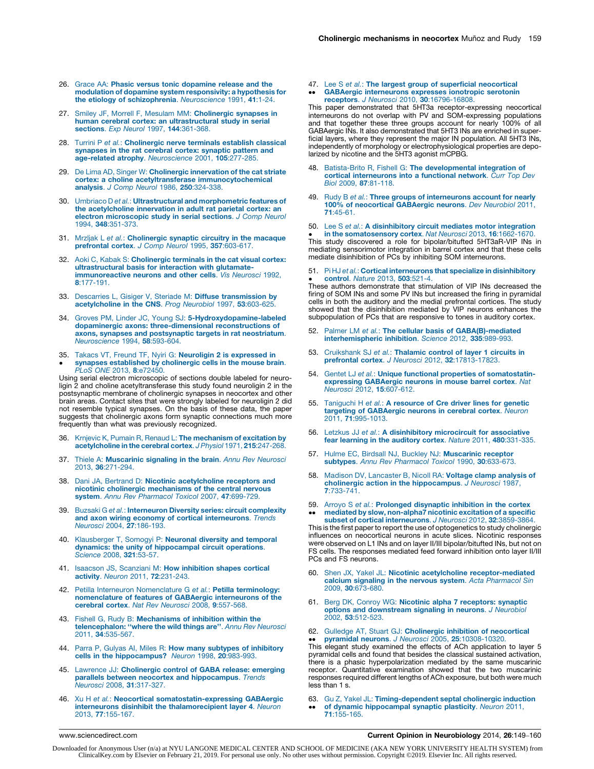- <span id="page-10-0"></span>26. Grace AA: Phasic versus tonic [dopamine](http://refhub.elsevier.com/S0959-4388(14)00050-6/sbref0130) release and the modulation of dopamine system [responsivity:](http://refhub.elsevier.com/S0959-4388(14)00050-6/sbref0130) a hypothesis for the etiology of [schizophrenia](http://refhub.elsevier.com/S0959-4388(14)00050-6/sbref0130). Neuroscience 1991, 41:1-24.
- 27. Smiley JF, Morrell F, Mesulam MM: [Cholinergic](http://refhub.elsevier.com/S0959-4388(14)00050-6/sbref0135) synapses in human cerebral cortex: an [ultrastructural](http://refhub.elsevier.com/S0959-4388(14)00050-6/sbref0135) study in serial sections. Exp Neurol 1997, 144[:361-368.](http://refhub.elsevier.com/S0959-4388(14)00050-6/sbref0135)
- 28. Turrini P et al.: [Cholinergic](http://refhub.elsevier.com/S0959-4388(14)00050-6/sbref0140) nerve terminals establish classical [synapses](http://refhub.elsevier.com/S0959-4388(14)00050-6/sbref0140) in the rat cerebral cortex: synaptic pattern and age-related atrophy. [Neuroscience](http://refhub.elsevier.com/S0959-4388(14)00050-6/sbref0140) 2001, 105:277-285.
- 29. De Lima AD, Singer W: [Cholinergic](http://refhub.elsevier.com/S0959-4388(14)00050-6/sbref0145) innervation of the cat striate cortex: a choline acetyltransferase [immunocytochemical](http://refhub.elsevier.com/S0959-4388(14)00050-6/sbref0145) analysis. J Comp Neurol 1986, 250[:324-338.](http://refhub.elsevier.com/S0959-4388(14)00050-6/sbref0145)
- 30. Umbriaco D et al.: [Ultrastructural](http://refhub.elsevier.com/S0959-4388(14)00050-6/sbref0150) and morphometric features of the [acetylcholine](http://refhub.elsevier.com/S0959-4388(14)00050-6/sbref0150) innervation in adult rat parietal cortex: an electron [microscopic](http://refhub.elsevier.com/S0959-4388(14)00050-6/sbref0150) study in serial sections. J Comp Neurol 1994, 348[:351-373.](http://refhub.elsevier.com/S0959-4388(14)00050-6/sbref0150)
- 31. Mrzljak L et al.: [Cholinergic](http://refhub.elsevier.com/S0959-4388(14)00050-6/sbref0155) synaptic circuitry in the macaque [prefrontal](http://refhub.elsevier.com/S0959-4388(14)00050-6/sbref0155) cortex. J Comp Neurol 1995, 357:603-617.
- 32. Aoki C, Kabak S: [Cholinergic](http://refhub.elsevier.com/S0959-4388(14)00050-6/sbref0160) terminals in the cat visual cortex: [ultrastructural](http://refhub.elsevier.com/S0959-4388(14)00050-6/sbref0160) basis for interaction with glutamate-[immunoreactive](http://refhub.elsevier.com/S0959-4388(14)00050-6/sbref0160) neurons and other cells. Vis Neurosci 1992, 8[:177-191.](http://refhub.elsevier.com/S0959-4388(14)00050-6/sbref0160)
- 33. Descarries L, Gisiger V, Steriade M: Diffuse [transmission](http://refhub.elsevier.com/S0959-4388(14)00050-6/sbref0165) by [acetylcholine](http://refhub.elsevier.com/S0959-4388(14)00050-6/sbref0165) in the CNS. Prog Neurobiol 1997, 53:603-625.
- 34. Groves PM, Linder JC, Young SJ: [5-Hydroxydopamine-labeled](http://refhub.elsevier.com/S0959-4388(14)00050-6/sbref0170) dopaminergic axons: [three-dimensional](http://refhub.elsevier.com/S0959-4388(14)00050-6/sbref0170) reconstructions of axons, synapses and [postsynaptic](http://refhub.elsevier.com/S0959-4388(14)00050-6/sbref0170) targets in rat neostriatum. [Neuroscience](http://refhub.elsevier.com/S0959-4388(14)00050-6/sbref0170) 1994, 58:593-604.
- 35. Takacs VT, Freund TF, Nyiri G: Neuroligin 2 is [expressed](http://refhub.elsevier.com/S0959-4388(14)00050-6/sbref0175) in  $\bullet$ synapses [established](http://refhub.elsevier.com/S0959-4388(14)00050-6/sbref0175) by cholinergic cells in the mouse brain. PLoS ONE 2013, 8[:e72450.](http://refhub.elsevier.com/S0959-4388(14)00050-6/sbref0175)

Using serial electron microscopic of sections double labeled for neuroligin 2 and choline acetyltransferase this study found neuroligin 2 in the postsynaptic membrane of cholinergic synapses in neocortex and other brain areas. Contact sites that were strongly labeled for neuroligin 2 did not resemble typical synapses. On the basis of these data, the paper suggests that cholinergic axons form synaptic connections much more frequently than what was previously recognized.

- Krnjevic K, Pumain R, Renaud L: The [mechanism](http://refhub.elsevier.com/S0959-4388(14)00050-6/sbref0180) of excitation by [acetylcholine](http://refhub.elsevier.com/S0959-4388(14)00050-6/sbref0180) in the cerebral cortex. J Physiol 1971, 215:247-268.
- 37. Thiele A: [Muscarinic](http://refhub.elsevier.com/S0959-4388(14)00050-6/sbref0185) signaling in the brain. Annu Rev Neurosci 2013, 36[:271-294.](http://refhub.elsevier.com/S0959-4388(14)00050-6/sbref0185)
- 38. Dani JA, Bertrand D: Nicotinic [acetylcholine](http://refhub.elsevier.com/S0959-4388(14)00050-6/sbref0190) receptors and nicotinic cholinergic [mechanisms](http://refhub.elsevier.com/S0959-4388(14)00050-6/sbref0190) of the central nervous system. Annu Rev [Pharmacol](http://refhub.elsevier.com/S0959-4388(14)00050-6/sbref0190) Toxicol 2007, 47:699-729.
- 39. Buzsaki G et al.: [Interneuron](http://refhub.elsevier.com/S0959-4388(14)00050-6/sbref0195) Diversity series: circuit complexity **and axon wiring economy of cortical [interneurons](http://refhub.elsevier.com/S0959-4388(14)00050-6/sbref0195)**. Trends<br>Neurosci 2004, **27**[:186-193.](http://refhub.elsevier.com/S0959-4388(14)00050-6/sbref0195)
- 40. [Klausberger](http://refhub.elsevier.com/S0959-4388(14)00050-6/sbref0200) T, Somogyi P: Neuronal diversity and temporal dynamics: the unity of [hippocampal](http://refhub.elsevier.com/S0959-4388(14)00050-6/sbref0200) circuit operations. [Science](http://refhub.elsevier.com/S0959-4388(14)00050-6/sbref0200) 2008, 321:53-57.
- 41. Isaacson JS, Scanziani M: How [inhibition](http://refhub.elsevier.com/S0959-4388(14)00050-6/sbref0205) shapes cortical activity. Neuron 2011, 72[:231-243.](http://refhub.elsevier.com/S0959-4388(14)00050-6/sbref0205)
- 42. Petilla Interneuron [Nomenclature](http://refhub.elsevier.com/S0959-4388(14)00050-6/sbref0210) G et al.: Petilla terminology: [nomenclature](http://refhub.elsevier.com/S0959-4388(14)00050-6/sbref0210) of features of GABAergic interneurons of the cerebral cortex. Nat Rev Neurosci 2008, 9[:557-568.](http://refhub.elsevier.com/S0959-4388(14)00050-6/sbref0210)
- 43. Fishell G, Rudy B: [Mechanisms](http://refhub.elsevier.com/S0959-4388(14)00050-6/sbref0215) of inhibition within the [telencephalon:](http://refhub.elsevier.com/S0959-4388(14)00050-6/sbref0215) ''where the wild things are''. Annu Rev Neurosci 2011, 34[:535-567.](http://refhub.elsevier.com/S0959-4388(14)00050-6/sbref0215)
- 44. Parra P, Gulyas AI, Miles R: How many subtypes of [inhibitory](http://refhub.elsevier.com/S0959-4388(14)00050-6/sbref0220) cells in the [hippocampus?](http://refhub.elsevier.com/S0959-4388(14)00050-6/sbref0220) Neuron 1998, 20:983-993.
- 45. Lawrence JJ: [Cholinergic](http://refhub.elsevier.com/S0959-4388(14)00050-6/sbref0225) control of GABA release: emerging **parallels between neocortex and [hippocampus](http://refhub.elsevier.com/S0959-4388(14)00050-6/sbref0225)**. *Trends*<br>Neurosci 2008, **31**[:317-327.](http://refhub.elsevier.com/S0959-4388(14)00050-6/sbref0225)
- 46. Xu H et al.: Neocortical [somatostatin-expressing](http://refhub.elsevier.com/S0959-4388(14)00050-6/sbref0230) GABAergic interneurons disinhibit the [thalamorecipient](http://refhub.elsevier.com/S0959-4388(14)00050-6/sbref0230) layer 4. Neuron 2013, 77[:155-167.](http://refhub.elsevier.com/S0959-4388(14)00050-6/sbref0230)

#### 47. Lee S et al.: The largest group of superficial [neocortical](http://refhub.elsevier.com/S0959-4388(14)00050-6/sbref0235) --GABAergic [interneurons](http://refhub.elsevier.com/S0959-4388(14)00050-6/sbref0235) expresses ionotropic serotonin receptors. J Neurosci 2010, 30[:16796-16808.](http://refhub.elsevier.com/S0959-4388(14)00050-6/sbref0235)

This paper demonstrated that 5HT3a receptor-expressing neocortical interneurons do not overlap with PV and SOM-expressing populations and that together these three groups account for nearly 100% of all GABAergic INs. It also demonstrated that 5HT3 INs are enriched in superficial layers, where they represent the major IN population. All 5HT3 INs, independently of morphology or electrophysiological properties are depolarized by nicotine and the 5HT3 agonist mCPBG.

- 48. Batista-Brito R, Fishell G: The [developmental](http://refhub.elsevier.com/S0959-4388(14)00050-6/sbref0240) integration of cortical [interneurons](http://refhub.elsevier.com/S0959-4388(14)00050-6/sbref0240) into a functional network. Curr Top Dev Biol 2009, 87[:81-118.](http://refhub.elsevier.com/S0959-4388(14)00050-6/sbref0240)
- 49. Rudy B et al.: Three groups of [interneurons](http://refhub.elsevier.com/S0959-4388(14)00050-6/sbref0245) account for nearly 100% of [neocortical](http://refhub.elsevier.com/S0959-4388(14)00050-6/sbref0245) GABAergic neurons. Dev Neurobiol 2011, 71[:45-61.](http://refhub.elsevier.com/S0959-4388(14)00050-6/sbref0245)

#### 50. Lee S et al.: A [disinhibitory](http://refhub.elsevier.com/S0959-4388(14)00050-6/sbref0250) circuit mediates motor integration

- in the [somatosensory](http://refhub.elsevier.com/S0959-4388(14)00050-6/sbref0250) cortex. Nat Neurosci 2013, 16:1662-1670. This study discovered a role for bipolar/bitufted 5HT3aR-VIP INs in mediating sensorimotor integration in barrel cortex and that these cells mediate disinhibition of PCs by inhibiting SOM interneurons.

51. Pi HJ et al.: Cortical [interneurons](http://refhub.elsevier.com/S0959-4388(14)00050-6/sbref0255) that specialize in disinhibitory [control](http://refhub.elsevier.com/S0959-4388(14)00050-6/sbref0255). Nature 2013, 503:521-4.

• control. Nature 2013, 503:521-4.<br>These authors demonstrate that stimulation of VIP INs decreased the firing of SOM INs and some PV INs but increased the firing in pyramidal cells in both the auditory and the medial prefrontal cortices. The study showed that the disinhibition mediated by VIP neurons enhances the subpopulation of PCs that are responsive to tones in auditory cortex.

- Palmer LM et al.: The cellular basis of [GABA\(B\)-mediated](http://refhub.elsevier.com/S0959-4388(14)00050-6/sbref0260) [interhemispheric](http://refhub.elsevier.com/S0959-4388(14)00050-6/sbref0260) inhibition. Science 2012, 335:989-993.
- 53. [Cruikshank](http://refhub.elsevier.com/S0959-4388(14)00050-6/sbref0265) SJ et al.: Thalamic control of layer 1 circuits in prefrontal cortex. J Neurosci 2012, 32[:17813-17823.](http://refhub.elsevier.com/S0959-4388(14)00050-6/sbref0265)
- 54. Gentet LJ et al.: Unique functional properties of [somatostatin](http://refhub.elsevier.com/S0959-4388(14)00050-6/sbref0270)expressing [GABAergic](http://refhub.elsevier.com/S0959-4388(14)00050-6/sbref0270) neurons in mouse barrel cortex. Nat Neurosci 2012, 15[:607-612.](http://refhub.elsevier.com/S0959-4388(14)00050-6/sbref0270)
- 55. [Taniguchi](http://refhub.elsevier.com/S0959-4388(14)00050-6/sbref0275) H et al.: A resource of Cre driver lines for genetic targeting of [GABAergic](http://refhub.elsevier.com/S0959-4388(14)00050-6/sbref0275) neurons in cerebral cortex. Neuron 2011, 71[:995-1013.](http://refhub.elsevier.com/S0959-4388(14)00050-6/sbref0275)
- 56. Letzkus JJ et al.: A [disinhibitory](http://refhub.elsevier.com/S0959-4388(14)00050-6/sbref0280) microcircuit for associative fear learning in the auditory cortex. Nature 2011, 480[:331-335.](http://refhub.elsevier.com/S0959-4388(14)00050-6/sbref0280)
- 57. Hulme EC, Birdsall NJ, Buckley NJ: [Muscarinic](http://refhub.elsevier.com/S0959-4388(14)00050-6/sbref0285) receptor subtypes. Annu Rev [Pharmacol](http://refhub.elsevier.com/S0959-4388(14)00050-6/sbref0285) Toxicol 1990, 30:633-673.
- 58. Madison DV, [Lancaster](http://refhub.elsevier.com/S0959-4388(14)00050-6/sbref0290) B, Nicoll RA: Voltage clamp analysis of cholinergic action in the [hippocampus](http://refhub.elsevier.com/S0959-4388(14)00050-6/sbref0290). J Neurosci 1987, 7[:733-741.](http://refhub.elsevier.com/S0959-4388(14)00050-6/sbref0290)
- 59. Arroyo S et al.: [Prolonged](http://refhub.elsevier.com/S0959-4388(14)00050-6/sbref0295) disynaptic inhibition in the cortex -mediated by slow, [non-alpha7](http://refhub.elsevier.com/S0959-4388(14)00050-6/sbref0295) nicotinic excitation of a specific

subset of cortical [interneurons](http://refhub.elsevier.com/S0959-4388(14)00050-6/sbref0295). J Neurosci 2012, 32:3859-3864. This is the first paper to report the use of optogenetics to study cholinergic influences on neocortical neurons in acute slices. Nicotinic responses were observed on L1 INs and on layer II/III bipolar/bitufted INs, but not on FS cells. The responses mediated feed forward inhibition onto layer II/III PCs and FS neurons.

- 60. Shen JX, Yakel JL: Nicotinic acetylcholine [receptor-mediated](http://refhub.elsevier.com/S0959-4388(14)00050-6/sbref0300) calcium signaling in the nervous system. Acta [Pharmacol](http://refhub.elsevier.com/S0959-4388(14)00050-6/sbref0300) Sin<br>2009, 30[:673-680.](http://refhub.elsevier.com/S0959-4388(14)00050-6/sbref0300)
- 61. Berg DK, Conroy WG: Nicotinic alpha 7 [receptors:](http://refhub.elsevier.com/S0959-4388(14)00050-6/sbref0305) synaptic options and [downstream](http://refhub.elsevier.com/S0959-4388(14)00050-6/sbref0305) signaling in neurons. J Neurobiol 2002, 53[:512-523.](http://refhub.elsevier.com/S0959-4388(14)00050-6/sbref0305)
- 62. 62. Gulledge AT, Stuart GJ: [Cholinergic](http://refhub.elsevier.com/S0959-4388(14)00050-6/sbref0310) inhibition of neocortical<br>• pyramidal neurons. J Neurosci 2005, 25[:10308-10320.](http://refhub.elsevier.com/S0959-4388(14)00050-6/sbref0310)

This elegant study examined the effects of ACh application to layer 5 pyramidal cells and found that besides the classical sustained activation, there is a phasic hyperpolarization mediated by the same muscarinic receptor. Quantitative examination showed that the two muscarinic responses required different lengths of ACh exposure, but both were much less than 1 s.

63. Gu Z, Yakel JL: [Timing-dependent](http://refhub.elsevier.com/S0959-4388(14)00050-6/sbref0315) septal cholinergic induction -of dynamic [hippocampal](http://refhub.elsevier.com/S0959-4388(14)00050-6/sbref0315) synaptic plasticity. Neuron 2011, 71[:155-165.](http://refhub.elsevier.com/S0959-4388(14)00050-6/sbref0315)

www.sciencedirect.com **Current Opinion in Neurobiology** 2014, 26:149-160